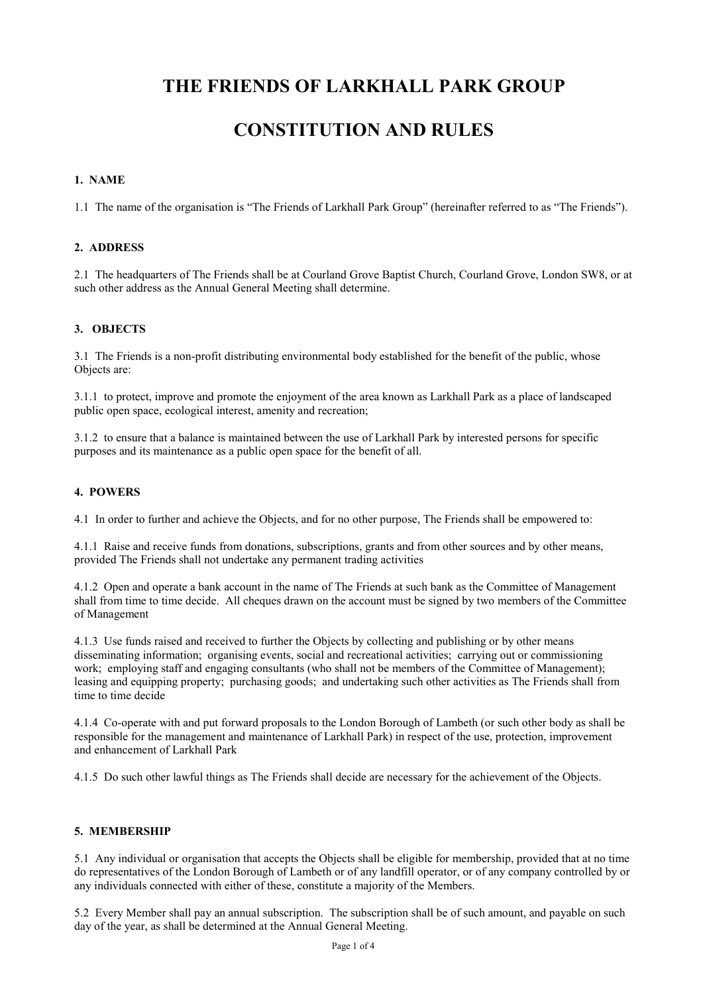## **THE FRIENDS OF LARKHALL PARK GROUP**

## **CONSTITUTION AND RULES**

#### **1. NAME**

1.1 The name of the organisation is "The Friends of Larkhall Park Group" (hereinafter referred to as "The Friends").

#### **2. ADDRESS**

2.1 The headquarters of The Friends shall be at Courland Grove Baptist Church, Courland Grove, London SW8, or at such other address as the Annual General Meeting shall determine.

#### **3. OBJECTS**

3.1 The Friends is a non-profit distributing environmental body established for the benefit of the public, whose Objects are:

3.1.1 to protect, improve and promote the enjoyment of the area known as Larkhall Park as a place of landscaped public open space, ecological interest, amenity and recreation;

3.1.2 to ensure that a balance is maintained between the use of Larkhall Park by interested persons for specific purposes and its maintenance as a public open space for the benefit of all.

#### **4. POWERS**

4.1In order to further and achieve the Objects, and for no other purpose, The Friends shall be empowered to:

4.1.1 Raise and receive funds from donations, subscriptions, grants and from other sources and by other means, provided The Friends shall not undertake any permanent trading activities

4.1.2 Open and operate a bank account in the name of The Friends at such bank as the Committee of Management shall from time to time decide. All cheques drawn on the account must be signed by two members of the Committee of Management

4.1.3 Use funds raised and received to further the Objects by collecting and publishing or by other means disseminating information; organising events, social and recreational activities; carrying out or commissioning work; employing staff and engaging consultants (who shall not be members of the Committee of Management); leasing and equipping property; purchasing goods; and undertaking such other activities as The Friends shall from time to time decide

4.1.4 Co-operate with and put forward proposals to the London Borough of Lambeth (or such other body as shall be responsible for the management and maintenance of Larkhall Park) in respect of the use, protection, improvement and enhancement of Larkhall Park

4.1.5 Do such other lawful things as The Friends shall decide are necessary for the achievement of the Objects.

#### **5. MEMBERSHIP**

5.1 Any individual or organisation that accepts the Objects shall be eligible for membership, provided that at no time do representatives of the London Borough of Lambeth or of any landfill operator, or of any company controlled by or any individuals connected with either of these, constitute a majority of the Members.

5.2 Every Member shall pay an annual subscription. The subscription shall be of such amount, and payable on such day of the year, as shall be determined at the Annual General Meeting.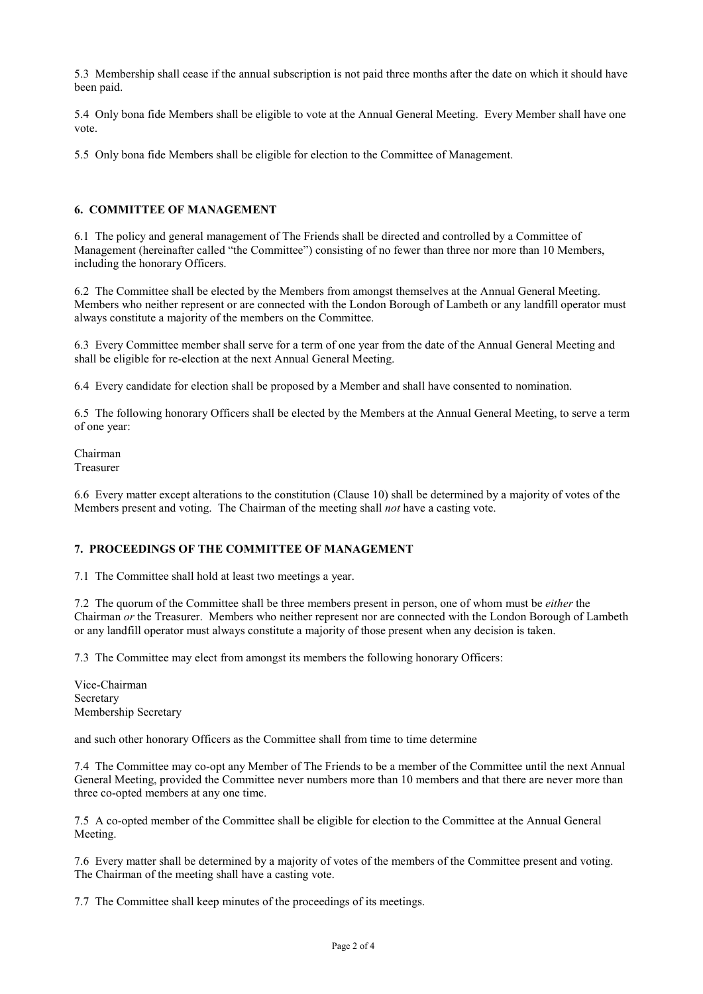5.3 Membership shall cease if the annual subscription is not paid three months after the date on which it should have been paid.

5.4 Only bona fide Members shall be eligible to vote at the Annual General Meeting. Every Member shall have one vote.

5.5 Only bona fide Members shall be eligible for election to the Committee of Management.

#### **6. COMMITTEE OF MANAGEMENT**

6.1 The policy and general management of The Friends shall be directed and controlled by a Committee of Management (hereinafter called "the Committee") consisting of no fewer than three nor more than 10 Members, including the honorary Officers.

6.2 The Committee shall be elected by the Members from amongst themselves at the Annual General Meeting. Members who neither represent or are connected with the London Borough of Lambeth or any landfill operator must always constitute a majority of the members on the Committee.

6.3 Every Committee member shall serve for a term of one year from the date of the Annual General Meeting and shall be eligible for re-election at the next Annual General Meeting.

6.4 Every candidate for election shall be proposed by a Member and shall have consented to nomination.

6.5 The following honorary Officers shall be elected by the Members at the Annual General Meeting, to serve a term of one year:

Chairman Treasurer

6.6 Every matter except alterations to the constitution (Clause 10) shall be determined by a majority of votes of the Members present and voting. The Chairman of the meeting shall *not* have a casting vote.

#### **7. PROCEEDINGS OF THE COMMITTEE OF MANAGEMENT**

7.1 The Committee shall hold at least two meetings a year.

7.2 The quorum of the Committee shall be three members present in person, one of whom must be *either* the Chairman *or* the Treasurer. Members who neither represent nor are connected with the London Borough of Lambeth or any landfill operator must always constitute a majority of those present when any decision is taken.

7.3 The Committee may elect from amongst its members the following honorary Officers:

Vice-Chairman Secretary Membership Secretary

and such other honorary Officers as the Committee shall from time to time determine

7.4 The Committee may co-opt any Member of The Friends to be a member of the Committee until the next Annual General Meeting, provided the Committee never numbers more than 10 members and that there are never more than three co-opted members at any one time.

7.5 A co-opted member of the Committee shall be eligible for election to the Committee at the Annual General Meeting.

7.6 Every matter shall be determined by a majority of votes of the members of the Committee present and voting. The Chairman of the meeting shall have a casting vote.

7.7 The Committee shall keep minutes of the proceedings of its meetings.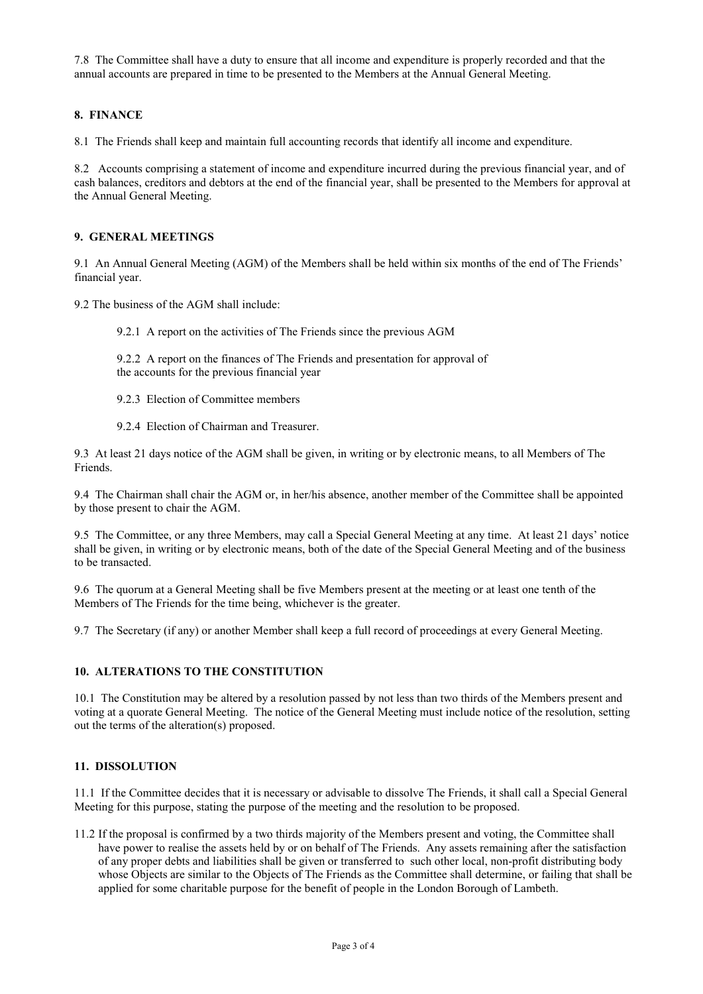7.8 The Committee shall have a duty to ensure that all income and expenditure is properly recorded and that the annual accounts are prepared in time to be presented to the Members at the Annual General Meeting.

#### **8. FINANCE**

8.1 The Friends shall keep and maintain full accounting records that identify all income and expenditure.

8.2 Accounts comprising a statement of income and expenditure incurred during the previous financial year, and of cash balances, creditors and debtors at the end of the financial year, shall be presented to the Members for approval at the Annual General Meeting.

#### **9. GENERAL MEETINGS**

9.1 An Annual General Meeting (AGM) of the Members shall be held within six months of the end of The Friends' financial year.

9.2 The business of the AGM shall include:

9.2.1 A report on the activities of The Friends since the previous AGM

9.2.2 A report on the finances of The Friends and presentation for approval of the accounts for the previous financial year

- 9.2.3 Election of Committee members
- 9.2.4 Election of Chairman and Treasurer.

9.3 At least 21 days notice of the AGM shall be given, in writing or by electronic means, to all Members of The Friends.

9.4 The Chairman shall chair the AGM or, in her/his absence, another member of the Committee shall be appointed by those present to chair the AGM.

9.5 The Committee, or any three Members, may call a Special General Meeting at any time. At least 21 days' notice shall be given, in writing or by electronic means, both of the date of the Special General Meeting and of the business to be transacted.

9.6 The quorum at a General Meeting shall be five Members present at the meeting or at least one tenth of the Members of The Friends for the time being, whichever is the greater.

9.7 The Secretary (if any) or another Member shall keep a full record of proceedings at every General Meeting.

#### **10. ALTERATIONS TO THE CONSTITUTION**

10.1 The Constitution may be altered by a resolution passed by not less than two thirds of the Members present and voting at a quorate General Meeting. The notice of the General Meeting must include notice of the resolution, setting out the terms of the alteration(s) proposed.

#### **11. DISSOLUTION**

11.1 If the Committee decides that it is necessary or advisable to dissolve The Friends, it shall call a Special General Meeting for this purpose, stating the purpose of the meeting and the resolution to be proposed.

11.2 If the proposal is confirmed by a two thirds majority of the Members present and voting, the Committee shall have power to realise the assets held by or on behalf of The Friends. Any assets remaining after the satisfaction of any proper debts and liabilities shall be given or transferred to such other local, non-profit distributing body whose Objects are similar to the Objects of The Friends as the Committee shall determine, or failing that shall be applied for some charitable purpose for the benefit of people in the London Borough of Lambeth.